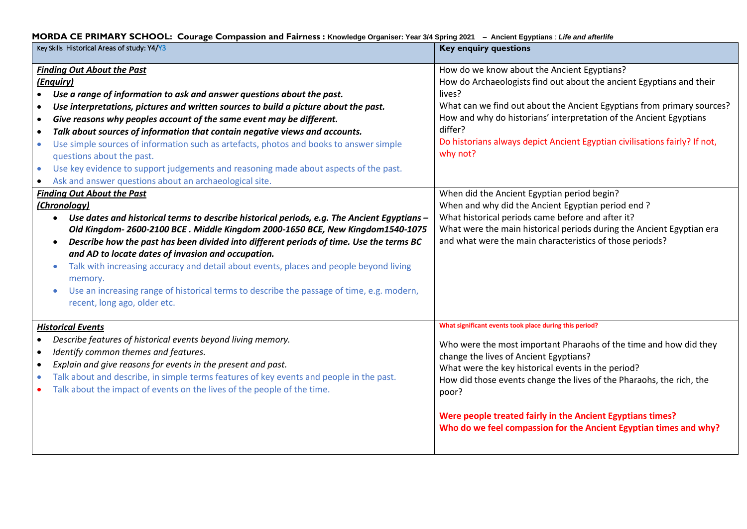# **MORDA CE PRIMARY SCHOOL: Courage Compassion and Fairness : Knowledge Organiser: Year 3/4 Spring 2021 – Ancient Egyptians** : *Life and afterlife*

| Key Skills Historical Areas of study: Y4/Y3                                                                                                                                                                                                                                                                                                                                                                                                                                                                                                                                                                                                                                                                                                                         | <b>Key enquiry questions</b>                                                                                                                                                                                                                                                                                                                                                                                                                    |
|---------------------------------------------------------------------------------------------------------------------------------------------------------------------------------------------------------------------------------------------------------------------------------------------------------------------------------------------------------------------------------------------------------------------------------------------------------------------------------------------------------------------------------------------------------------------------------------------------------------------------------------------------------------------------------------------------------------------------------------------------------------------|-------------------------------------------------------------------------------------------------------------------------------------------------------------------------------------------------------------------------------------------------------------------------------------------------------------------------------------------------------------------------------------------------------------------------------------------------|
| <b>Finding Out About the Past</b><br>(Enquiry)<br>Use a range of information to ask and answer questions about the past.<br>$\bullet$<br>Use interpretations, pictures and written sources to build a picture about the past.<br>$\bullet$<br>Give reasons why peoples account of the same event may be different.<br>$\bullet$<br>Talk about sources of information that contain negative views and accounts.<br>$\bullet$<br>Use simple sources of information such as artefacts, photos and books to answer simple<br>$\bullet$<br>questions about the past.<br>Use key evidence to support judgements and reasoning made about aspects of the past.<br>$\bullet$<br>Ask and answer questions about an archaeological site.<br><b>Finding Out About the Past</b> | How do we know about the Ancient Egyptians?<br>How do Archaeologists find out about the ancient Egyptians and their<br>lives?<br>What can we find out about the Ancient Egyptians from primary sources?<br>How and why do historians' interpretation of the Ancient Egyptians<br>differ?<br>Do historians always depict Ancient Egyptian civilisations fairly? If not,<br>why not?<br>When did the Ancient Egyptian period begin?               |
| (Chronology)<br>Use dates and historical terms to describe historical periods, e.g. The Ancient Egyptians $-$<br>$\bullet$<br>Old Kingdom- 2600-2100 BCE . Middle Kingdom 2000-1650 BCE, New Kingdom1540-1075<br>Describe how the past has been divided into different periods of time. Use the terms BC<br>$\bullet$<br>and AD to locate dates of invasion and occupation.<br>Talk with increasing accuracy and detail about events, places and people beyond living<br>$\bullet$<br>memory.<br>Use an increasing range of historical terms to describe the passage of time, e.g. modern,<br>recent, long ago, older etc.                                                                                                                                          | When and why did the Ancient Egyptian period end?<br>What historical periods came before and after it?<br>What were the main historical periods during the Ancient Egyptian era<br>and what were the main characteristics of those periods?                                                                                                                                                                                                     |
| <b>Historical Events</b><br>Describe features of historical events beyond living memory.<br>Identify common themes and features.<br>$\bullet$<br>Explain and give reasons for events in the present and past.<br>Talk about and describe, in simple terms features of key events and people in the past.<br>Talk about the impact of events on the lives of the people of the time.                                                                                                                                                                                                                                                                                                                                                                                 | What significant events took place during this period?<br>Who were the most important Pharaohs of the time and how did they<br>change the lives of Ancient Egyptians?<br>What were the key historical events in the period?<br>How did those events change the lives of the Pharaohs, the rich, the<br>poor?<br>Were people treated fairly in the Ancient Egyptians times?<br>Who do we feel compassion for the Ancient Egyptian times and why? |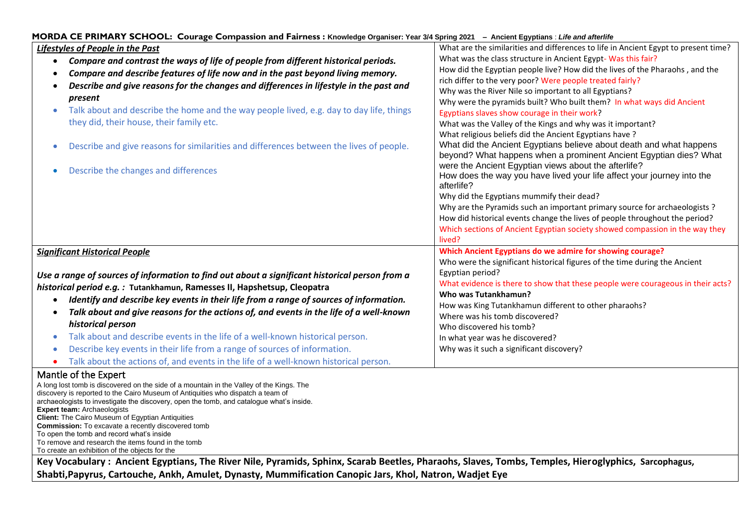| MORDA CE PRIMARY SCHOOL: Courage Compassion and Fairness : Knowledge Organiser: Year 3/4 Spring 2021 - Ancient Egyptians : Life and afterlife                                                                                                                                                                                                                                                                                                                                                                                            |                                                                                                                                          |  |  |
|------------------------------------------------------------------------------------------------------------------------------------------------------------------------------------------------------------------------------------------------------------------------------------------------------------------------------------------------------------------------------------------------------------------------------------------------------------------------------------------------------------------------------------------|------------------------------------------------------------------------------------------------------------------------------------------|--|--|
| Lifestyles of People in the Past                                                                                                                                                                                                                                                                                                                                                                                                                                                                                                         | What are the similarities and differences to life in Ancient Egypt to present time?                                                      |  |  |
| Compare and contrast the ways of life of people from different historical periods.<br>$\bullet$                                                                                                                                                                                                                                                                                                                                                                                                                                          | What was the class structure in Ancient Egypt-Was this fair?                                                                             |  |  |
| Compare and describe features of life now and in the past beyond living memory.<br>$\bullet$                                                                                                                                                                                                                                                                                                                                                                                                                                             | How did the Egyptian people live? How did the lives of the Pharaohs, and the                                                             |  |  |
| Describe and give reasons for the changes and differences in lifestyle in the past and                                                                                                                                                                                                                                                                                                                                                                                                                                                   | rich differ to the very poor? Were people treated fairly?                                                                                |  |  |
| present                                                                                                                                                                                                                                                                                                                                                                                                                                                                                                                                  | Why was the River Nile so important to all Egyptians?                                                                                    |  |  |
|                                                                                                                                                                                                                                                                                                                                                                                                                                                                                                                                          | Why were the pyramids built? Who built them? In what ways did Ancient                                                                    |  |  |
| Talk about and describe the home and the way people lived, e.g. day to day life, things                                                                                                                                                                                                                                                                                                                                                                                                                                                  | Egyptians slaves show courage in their work?                                                                                             |  |  |
| they did, their house, their family etc.                                                                                                                                                                                                                                                                                                                                                                                                                                                                                                 | What was the Valley of the Kings and why was it important?                                                                               |  |  |
|                                                                                                                                                                                                                                                                                                                                                                                                                                                                                                                                          | What religious beliefs did the Ancient Egyptians have?                                                                                   |  |  |
| Describe and give reasons for similarities and differences between the lives of people.                                                                                                                                                                                                                                                                                                                                                                                                                                                  | What did the Ancient Egyptians believe about death and what happens<br>beyond? What happens when a prominent Ancient Egyptian dies? What |  |  |
| Describe the changes and differences                                                                                                                                                                                                                                                                                                                                                                                                                                                                                                     | were the Ancient Egyptian views about the afterlife?                                                                                     |  |  |
|                                                                                                                                                                                                                                                                                                                                                                                                                                                                                                                                          | How does the way you have lived your life affect your journey into the<br>afterlife?                                                     |  |  |
|                                                                                                                                                                                                                                                                                                                                                                                                                                                                                                                                          | Why did the Egyptians mummify their dead?                                                                                                |  |  |
|                                                                                                                                                                                                                                                                                                                                                                                                                                                                                                                                          | Why are the Pyramids such an important primary source for archaeologists ?                                                               |  |  |
|                                                                                                                                                                                                                                                                                                                                                                                                                                                                                                                                          | How did historical events change the lives of people throughout the period?                                                              |  |  |
|                                                                                                                                                                                                                                                                                                                                                                                                                                                                                                                                          | Which sections of Ancient Egyptian society showed compassion in the way they                                                             |  |  |
|                                                                                                                                                                                                                                                                                                                                                                                                                                                                                                                                          | lived?                                                                                                                                   |  |  |
| <b>Significant Historical People</b>                                                                                                                                                                                                                                                                                                                                                                                                                                                                                                     | Which Ancient Egyptians do we admire for showing courage?                                                                                |  |  |
|                                                                                                                                                                                                                                                                                                                                                                                                                                                                                                                                          | Who were the significant historical figures of the time during the Ancient                                                               |  |  |
| Use a range of sources of information to find out about a significant historical person from a                                                                                                                                                                                                                                                                                                                                                                                                                                           | Egyptian period?                                                                                                                         |  |  |
| historical period e.g.: Tutankhamun, Ramesses II, Hapshetsup, Cleopatra                                                                                                                                                                                                                                                                                                                                                                                                                                                                  | What evidence is there to show that these people were courageous in their acts?                                                          |  |  |
| Identify and describe key events in their life from a range of sources of information.                                                                                                                                                                                                                                                                                                                                                                                                                                                   | Who was Tutankhamun?                                                                                                                     |  |  |
| $\bullet$                                                                                                                                                                                                                                                                                                                                                                                                                                                                                                                                | How was King Tutankhamun different to other pharaohs?                                                                                    |  |  |
| Talk about and give reasons for the actions of, and events in the life of a well-known                                                                                                                                                                                                                                                                                                                                                                                                                                                   | Where was his tomb discovered?                                                                                                           |  |  |
| historical person                                                                                                                                                                                                                                                                                                                                                                                                                                                                                                                        | Who discovered his tomb?                                                                                                                 |  |  |
| Talk about and describe events in the life of a well-known historical person.                                                                                                                                                                                                                                                                                                                                                                                                                                                            | In what year was he discovered?                                                                                                          |  |  |
| Describe key events in their life from a range of sources of information.                                                                                                                                                                                                                                                                                                                                                                                                                                                                | Why was it such a significant discovery?                                                                                                 |  |  |
| Talk about the actions of, and events in the life of a well-known historical person.                                                                                                                                                                                                                                                                                                                                                                                                                                                     |                                                                                                                                          |  |  |
| Mantle of the Expert                                                                                                                                                                                                                                                                                                                                                                                                                                                                                                                     |                                                                                                                                          |  |  |
| A long lost tomb is discovered on the side of a mountain in the Valley of the Kings. The<br>discovery is reported to the Cairo Museum of Antiquities who dispatch a team of<br>archaeologists to investigate the discovery, open the tomb, and catalogue what's inside.<br><b>Expert team: Archaeologists</b><br><b>Client:</b> The Cairo Museum of Egyptian Antiquities<br><b>Commission:</b> To excavate a recently discovered tomb<br>To open the tomb and record what's inside<br>To remove and research the items found in the tomb |                                                                                                                                          |  |  |
| To create an exhibition of the objects for the                                                                                                                                                                                                                                                                                                                                                                                                                                                                                           |                                                                                                                                          |  |  |
| Key Vocabulary: Ancient Egyptians, The River Nile, Pyramids, Sphinx, Scarab Beetles, Pharaohs, Slaves, Tombs, Temples, Hieroglyphics, Sarcophagus,                                                                                                                                                                                                                                                                                                                                                                                       |                                                                                                                                          |  |  |
| Shabti, Papyrus, Cartouche, Ankh, Amulet, Dynasty, Mummification Canopic Jars, Khol, Natron, Wadjet Eye                                                                                                                                                                                                                                                                                                                                                                                                                                  |                                                                                                                                          |  |  |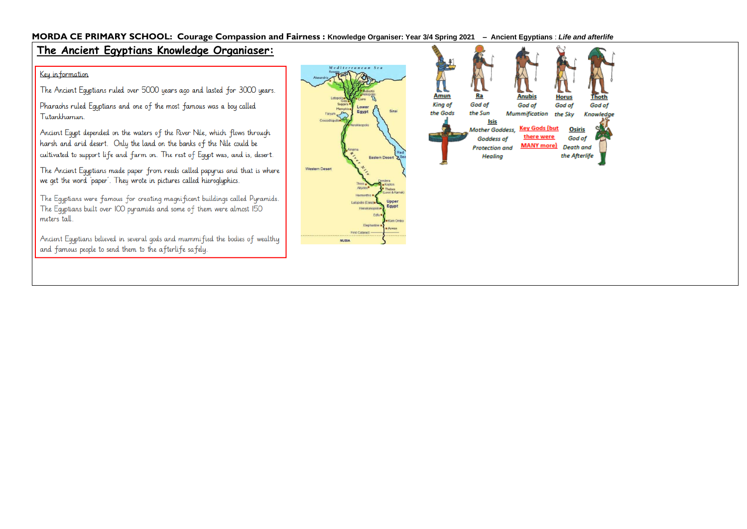## MORDA CE PRIMARY SCHOOL: Courage Compassion and Fairness : Knowledge Organiser: Year 3/4 Spring 2021 - Ancient Egyptians : Life and afterlife

# The Ancient Egyptians Knowledge Organiaser:

### Key in formation

The Ancient Equptians ruled over 5000 years ago and lasted for 3000 years.

Pharaohs ruled Equptians and one of the most famous was a boy called Tutankhamun.

Ancient Equpt depended on the waters of the River Nile, which flows through harsh and arid desert. Only the land on the banks of the Nile could be cultivated to support life and farm on. The rest of Equpt was, and is, desert.

The Ancient Equptians made paper from reeds called papyrus and that is where we get the word 'paper'. They wrote in pictures called hieroglyphics.

The Equptians were famous for creating magnificent buildings called Pyramids. The Equptians built over 100 pyramids and some of them were almost 150 meters tall.

Ancient Equptians believed in several gods and mummified the bodies of wealthy and famous people to send them to the afterlife safely.



God of

Knowledge